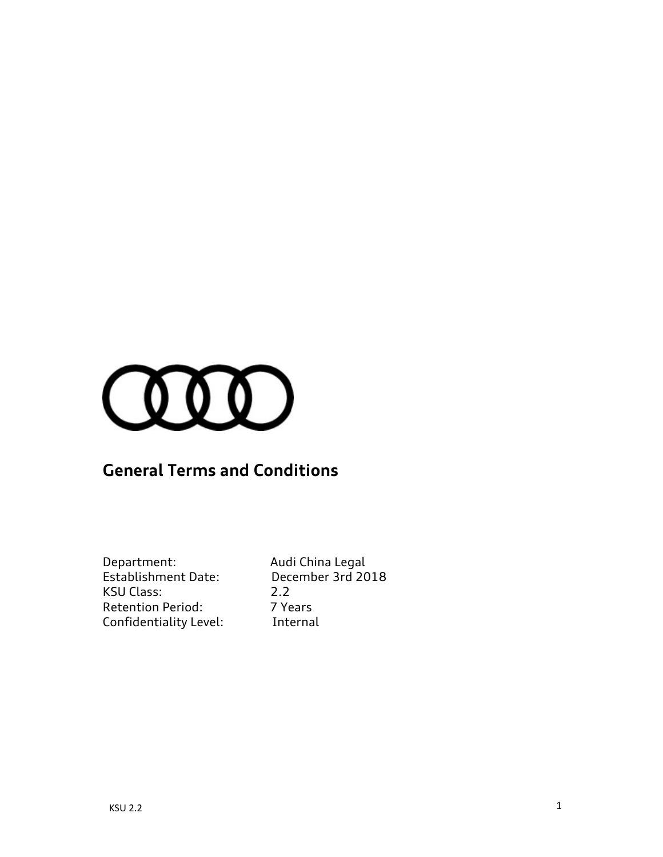

# **General Terms and Conditions**

| Department:                | Aud  |
|----------------------------|------|
| <b>Establishment Date:</b> | Dec  |
| KSU Class:                 | 2.2  |
| <b>Retention Period:</b>   | 7 Ye |
| Confidentiality Level:     | Inte |

Audi China Legal December 3rd 2018<br>2.2 7 Years Internal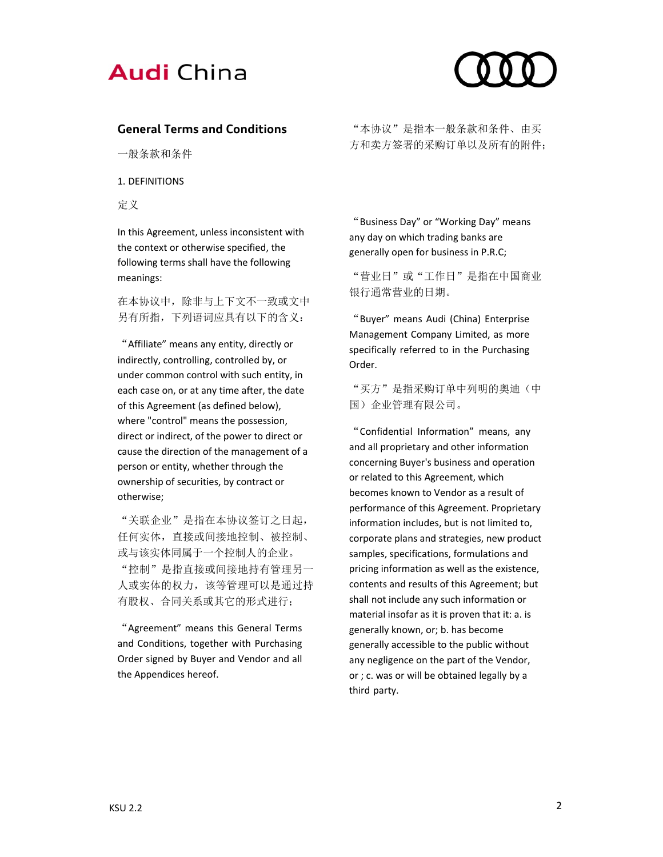



# **General Terms and Conditions**

一般条款和条件

1. DEFINITIONS

定义

In this Agreement, unless inconsistent with the context or otherwise specified, the following terms shall have the following meanings:

在本协议中,除非与上下文不一致或文中 另有所指,下列语词应具有以下的含义:

"Affiliate" means any entity, directly or indirectly, controlling, controlled by, or under common control with such entity, in each case on, or at any time after, the date of this Agreement (as defined below), where "control" means the possession, direct or indirect, of the power to direct or cause the direction of the management of a person or entity, whether through the ownership of securities, by contract or otherwise;

"关联企业"是指在本协议签订之日起, 任何实体,直接或间接地控制、被控制、 或与该实体同属于一个控制人的企业。 "控制"是指直接或间接地持有管理另一 人或实体的权力,该等管理可以是通过持 有股权、合同关系或其它的形式进行;

"Agreement" means this General Terms and Conditions, together with Purchasing Order signed by Buyer and Vendor and all the Appendices hereof.

"本协议"是指本一般条款和条件、由买 方和卖方签署的采购订单以及所有的附件;

"Business Day" or "Working Day" means any day on which trading banks are generally open for business in P.R.C;

"营业日"或"工作日"是指在中国商业 银行通常营业的日期。

"Buyer" means Audi (China) Enterprise Management Company Limited, as more specifically referred to in the Purchasing Order.

"买方"是指采购订单中列明的奥迪(中 国)企业管理有限公司。

"Confidential Information" means, any and all proprietary and other information concerning Buyer's business and operation or related to this Agreement, which becomes known to Vendor as a result of performance of this Agreement. Proprietary information includes, but is not limited to, corporate plans and strategies, new product samples, specifications, formulations and pricing information as well as the existence, contents and results of this Agreement; but shall not include any such information or material insofar as it is proven that it: a. is generally known, or; b. has become generally accessible to the public without any negligence on the part of the Vendor, or ; c. was or will be obtained legally by a third party.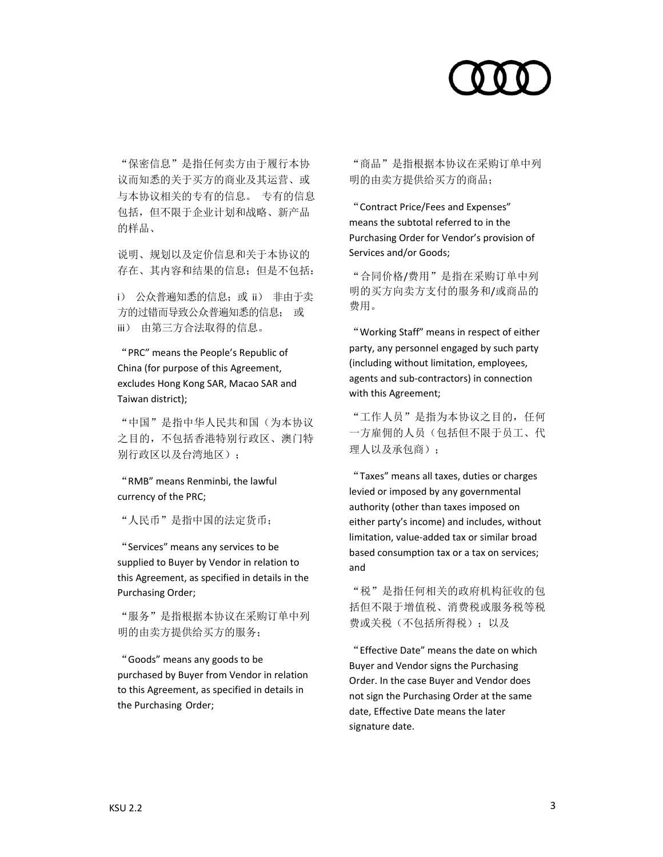

"保密信息"是指任何卖方由于履行本协 议而知悉的关于买方的商业及其运营、或 与本协议相关的专有的信息。 专有的信息 包括,但不限于企业计划和战略、新产品 的样品、

说明、规划以及定价信息和关于本协议的 存在、其内容和结果的信息;但是不包括:

i) 公众普遍知悉的信息;或 ii) 非由于卖 方的过错而导致公众普遍知悉的信息; 或 iii) 由第三方合法取得的信息。

"PRC" means the People's Republic of China (for purpose of this Agreement, excludes Hong Kong SAR, Macao SAR and Taiwan district);

"中国"是指中华人民共和国(为本协议 之目的,不包括香港特别行政区、澳门特 别行政区以及台湾地区);

"RMB" means Renminbi, the lawful currency of the PRC;

"人民币"是指中国的法定货币;

"Services" means any services to be supplied to Buyer by Vendor in relation to this Agreement, as specified in details in the Purchasing Order;

"服务"是指根据本协议在采购订单中列 明的由卖方提供给买方的服务;

"Goods" means any goods to be purchased by Buyer from Vendor in relation to this Agreement, as specified in details in the Purchasing Order;

"商品"是指根据本协议在采购订单中列 明的由卖方提供给买方的商品;

"Contract Price/Fees and Expenses" means the subtotal referred to in the Purchasing Order for Vendor's provision of Services and/or Goods;

"合同价格/费用"是指在采购订单中列 明的买方向卖方支付的服务和/或商品的 费用。

"Working Staff" means in respect of either party, any personnel engaged by such party (including without limitation, employees, agents and sub‐contractors) in connection with this Agreement;

"工作人员"是指为本协议之目的,任何 一方雇佣的人员(包括但不限于员工、代 理人以及承包商):

"Taxes" means all taxes, duties or charges levied or imposed by any governmental authority (other than taxes imposed on either party's income) and includes, without limitation, value‐added tax or similar broad based consumption tax or a tax on services; and

"税"是指任何相关的政府机构征收的包 括但不限于增值税、消费税或服务税等税 费或关税(不包括所得税);以及

"Effective Date" means the date on which Buyer and Vendor signs the Purchasing Order. In the case Buyer and Vendor does not sign the Purchasing Order at the same date, Effective Date means the later signature date.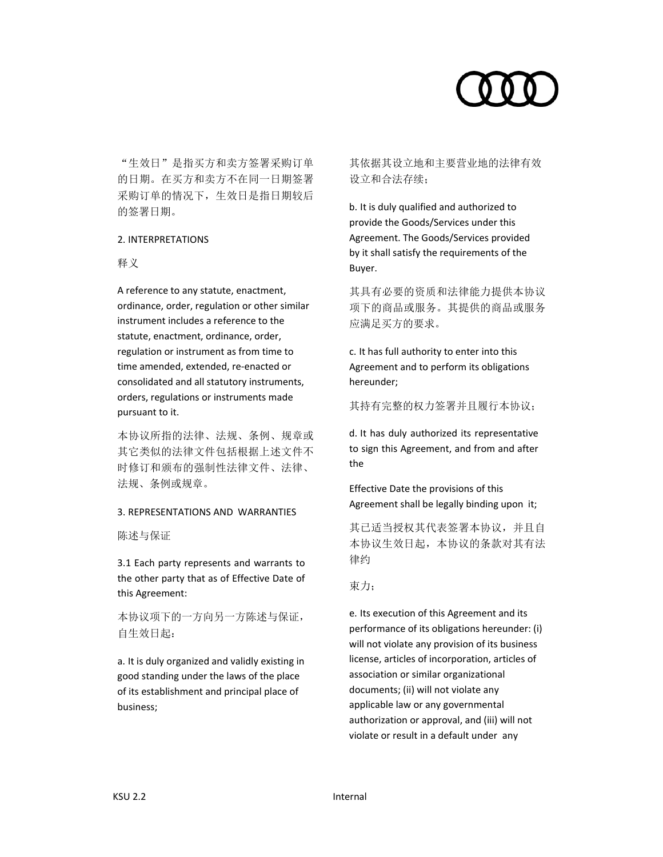

"生效日"是指买方和卖方签署采购订单 的日期。在买方和卖方不在同一日期签署 采购订单的情况下,生效日是指日期较后 的签署日期。

# 2. INTERPRETATIONS

### 释义

A reference to any statute, enactment, ordinance, order, regulation or other similar instrument includes a reference to the statute, enactment, ordinance, order, regulation or instrument as from time to time amended, extended, re‐enacted or consolidated and all statutory instruments, orders, regulations or instruments made pursuant to it.

本协议所指的法律、法规、条例、规章或 其它类似的法律文件包括根据上述文件不 时修订和颁布的强制性法律文件、法律、 法规、条例或规章。

### 3. REPRESENTATIONS AND WARRANTIES

陈述与保证

3.1 Each party represents and warrants to the other party that as of Effective Date of this Agreement:

本协议项下的一方向另一方陈述与保证, 自生效日起:

a. It is duly organized and validly existing in good standing under the laws of the place of its establishment and principal place of business;

其依据其设立地和主要营业地的法律有效 设立和合法存续;

b. It is duly qualified and authorized to provide the Goods/Services under this Agreement. The Goods/Services provided by it shall satisfy the requirements of the Buyer.

其具有必要的资质和法律能力提供本协议 项下的商品或服务。其提供的商品或服务 应满足买方的要求。

c. It has full authority to enter into this Agreement and to perform its obligations hereunder;

其持有完整的权力签署并且履行本协议;

d. It has duly authorized its representative to sign this Agreement, and from and after the

Effective Date the provisions of this Agreement shall be legally binding upon it;

其已适当授权其代表签署本协议,并且自 本协议生效日起,本协议的条款对其有法 律约

# 束力;

e. Its execution of this Agreement and its performance of its obligations hereunder: (i) will not violate any provision of its business license, articles of incorporation, articles of association or similar organizational documents; (ii) will not violate any applicable law or any governmental authorization or approval, and (iii) will not violate or result in a default under any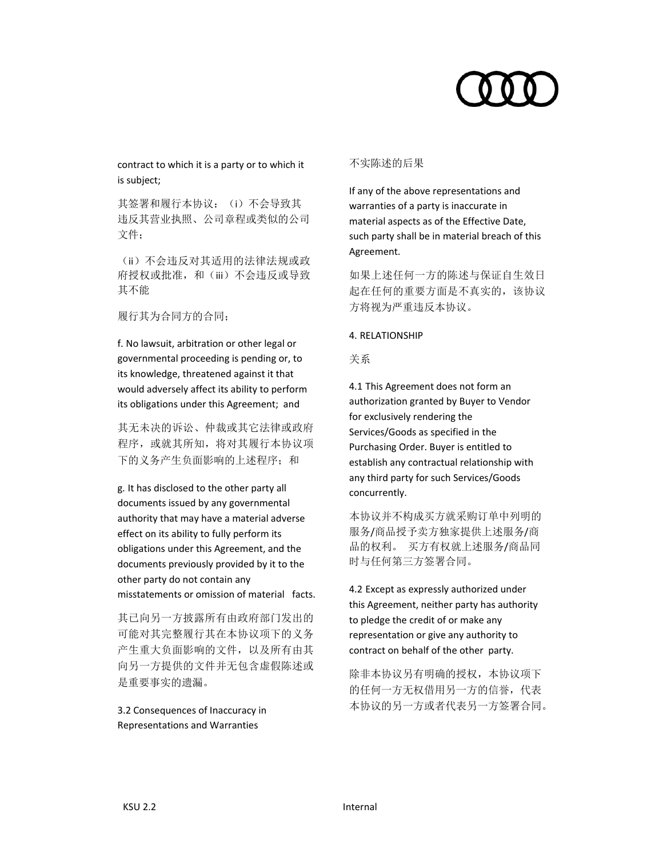contract to which it is a party or to which it is subject;

其签署和履行本协议: (i) 不会导致其 违反其营业执照、公司章程或类似的公司 文件;

(ii)不会违反对其适用的法律法规或政 府授权或批准,和(iii)不会违反或导致 其不能

履行其为合同方的合同;

f. No lawsuit, arbitration or other legal or governmental proceeding is pending or, to its knowledge, threatened against it that would adversely affect its ability to perform its obligations under this Agreement; and

其无未决的诉讼、仲裁或其它法律或政府 程序,或就其所知,将对其履行本协议项 下的义务产生负面影响的上述程序;和

g. It has disclosed to the other party all documents issued by any governmental authority that may have a material adverse effect on its ability to fully perform its obligations under this Agreement, and the documents previously provided by it to the other party do not contain any misstatements or omission of material facts.

其已向另一方披露所有由政府部门发出的 可能对其完整履行其在本协议项下的义务 产生重大负面影响的文件,以及所有由其 向另一方提供的文件并无包含虚假陈述或 是重要事实的遗漏。

3.2 Consequences of Inaccuracy in Representations and Warranties

# 不实陈述的后果

If any of the above representations and warranties of a party is inaccurate in material aspects as of the Effective Date, such party shall be in material breach of this Agreement.

如果上述任何一方的陈述与保证自生效日 起在任何的重要方面是不真实的,该协议 方将视为严重违反本协议。

# 4. RELATIONSHIP

关系

4.1 This Agreement does not form an authorization granted by Buyer to Vendor for exclusively rendering the Services/Goods as specified in the Purchasing Order. Buyer is entitled to establish any contractual relationship with any third party for such Services/Goods concurrently.

本协议并不构成买方就采购订单中列明的 服务/商品授予卖方独家提供上述服务/商 品的权利。 买方有权就上述服务/商品同 时与任何第三方签署合同。

4.2 Except as expressly authorized under this Agreement, neither party has authority to pledge the credit of or make any representation or give any authority to contract on behalf of the other party.

除非本协议另有明确的授权,本协议项下 的任何一方无权借用另一方的信誉,代表 本协议的另一方或者代表另一方签署合同。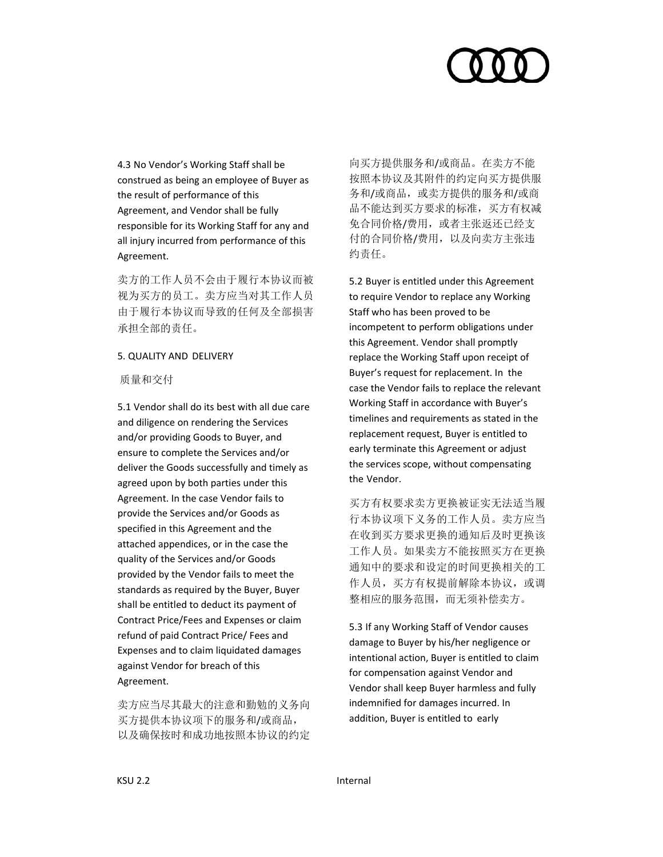

4.3 No Vendor's Working Staff shall be construed as being an employee of Buyer as the result of performance of this Agreement, and Vendor shall be fully responsible for its Working Staff for any and all injury incurred from performance of this Agreement.

卖方的工作人员不会由于履行本协议而被 视为买方的员工。卖方应当对其工作人员 由于履行本协议而导致的任何及全部损害 承担全部的责任。

### 5. QUALITY AND DELIVERY

质量和交付

5.1 Vendor shall do its best with all due care and diligence on rendering the Services and/or providing Goods to Buyer, and ensure to complete the Services and/or deliver the Goods successfully and timely as agreed upon by both parties under this Agreement. In the case Vendor fails to provide the Services and/or Goods as specified in this Agreement and the attached appendices, or in the case the quality of the Services and/or Goods provided by the Vendor fails to meet the standards as required by the Buyer, Buyer shall be entitled to deduct its payment of Contract Price/Fees and Expenses or claim refund of paid Contract Price/ Fees and Expenses and to claim liquidated damages against Vendor for breach of this Agreement.

卖方应当尽其最大的注意和勤勉的义务向 买方提供本协议项下的服务和/或商品, 以及确保按时和成功地按照本协议的约定 向买方提供服务和/或商品。在卖方不能 按照本协议及其附件的约定向买方提供服 务和/或商品,或卖方提供的服务和/或商 品不能达到买方要求的标准,买方有权减 免合同价格/费用,或者主张返还已经支 付的合同价格/费用,以及向卖方主张违 约责任。

5.2 Buyer is entitled under this Agreement to require Vendor to replace any Working Staff who has been proved to be incompetent to perform obligations under this Agreement. Vendor shall promptly replace the Working Staff upon receipt of Buyer's request for replacement. In the case the Vendor fails to replace the relevant Working Staff in accordance with Buyer's timelines and requirements as stated in the replacement request, Buyer is entitled to early terminate this Agreement or adjust the services scope, without compensating the Vendor.

买方有权要求卖方更换被证实无法适当履 行本协议项下义务的工作人员。卖方应当 在收到买方要求更换的通知后及时更换该 工作人员。如果卖方不能按照买方在更换 通知中的要求和设定的时间更换相关的工 作人员,买方有权提前解除本协议,或调 整相应的服务范围,而无须补偿卖方。

5.3 If any Working Staff of Vendor causes damage to Buyer by his/her negligence or intentional action, Buyer is entitled to claim for compensation against Vendor and Vendor shall keep Buyer harmless and fully indemnified for damages incurred. In addition, Buyer is entitled to early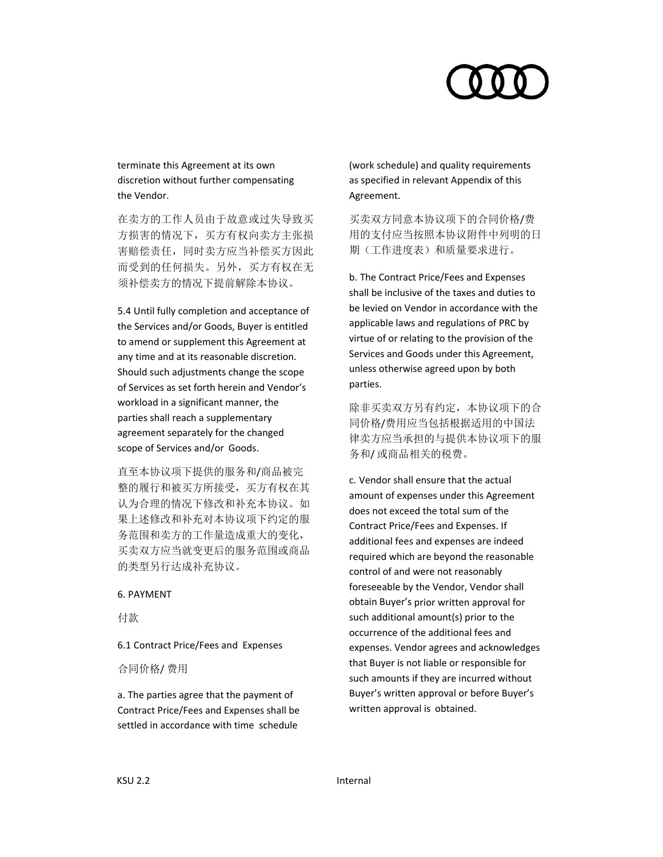

terminate this Agreement at its own discretion without further compensating the Vendor.

在卖方的工作人员由于故意或过失导致买 方损害的情况下,买方有权向卖方主张损 害赔偿责任,同时卖方应当补偿买方因此 而受到的任何损失。另外,买方有权在无 须补偿卖方的情况下提前解除本协议。

5.4 Until fully completion and acceptance of the Services and/or Goods, Buyer is entitled to amend or supplement this Agreement at any time and at its reasonable discretion. Should such adjustments change the scope of Services as set forth herein and Vendor's workload in a significant manner, the parties shall reach a supplementary agreement separately for the changed scope of Services and/or Goods.

直至本协议项下提供的服务和/商品被完 整的履行和被买方所接受,买方有权在其 认为合理的情况下修改和补充本协议。如 果上述修改和补充对本协议项下约定的服 务范围和卖方的工作量造成重大的变化, 买卖双方应当就变更后的服务范围或商品 的类型另行达成补充协议。

### 6. PAYMENT

付款

6.1 Contract Price/Fees and Expenses

合同价格/ 费用

a. The parties agree that the payment of Contract Price/Fees and Expenses shall be settled in accordance with time schedule

(work schedule) and quality requirements as specified in relevant Appendix of this Agreement.

买卖双方同意本协议项下的合同价格/费 用的支付应当按照本协议附件中列明的日 期(工作进度表)和质量要求进行。

b. The Contract Price/Fees and Expenses shall be inclusive of the taxes and duties to be levied on Vendor in accordance with the applicable laws and regulations of PRC by virtue of or relating to the provision of the Services and Goods under this Agreement, unless otherwise agreed upon by both parties.

除非买卖双方另有约定,本协议项下的合 同价格/费用应当包括根据适用的中国法 律卖方应当承担的与提供本协议项下的服 务和/ 或商品相关的税费。

c. Vendor shall ensure that the actual amount of expenses under this Agreement does not exceed the total sum of the Contract Price/Fees and Expenses. If additional fees and expenses are indeed required which are beyond the reasonable control of and were not reasonably foreseeable by the Vendor, Vendor shall obtain Buyer's prior written approval for such additional amount(s) prior to the occurrence of the additional fees and expenses. Vendor agrees and acknowledges that Buyer is not liable or responsible for such amounts if they are incurred without Buyer's written approval or before Buyer's written approval is obtained.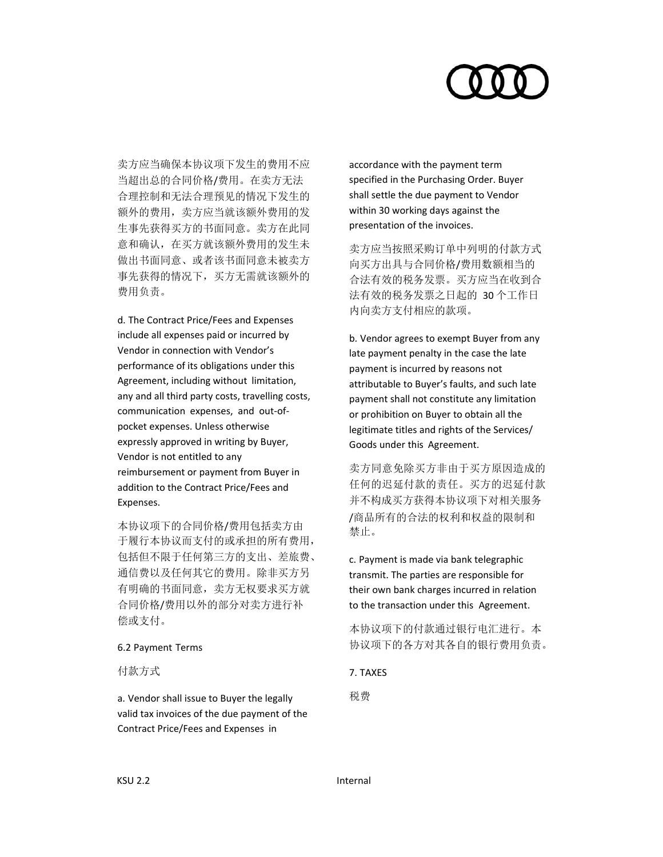

卖方应当确保本协议项下发生的费用不应 当超出总的合同价格/费用。在卖方无法 合理控制和无法合理预见的情况下发生的 额外的费用,卖方应当就该额外费用的发 生事先获得买方的书面同意。卖方在此同 意和确认,在买方就该额外费用的发生未 做出书面同意、或者该书面同意未被卖方 事先获得的情况下,买方无需就该额外的 费用负责。

d. The Contract Price/Fees and Expenses include all expenses paid or incurred by Vendor in connection with Vendor's performance of its obligations under this Agreement, including without limitation, any and all third party costs, travelling costs, communication expenses, and out‐of‐ pocket expenses. Unless otherwise expressly approved in writing by Buyer, Vendor is not entitled to any reimbursement or payment from Buyer in addition to the Contract Price/Fees and Expenses.

本协议项下的合同价格/费用包括卖方由 于履行本协议而支付的或承担的所有费用, 包括但不限于任何第三方的支出、差旅费、 通信费以及任何其它的费用。除非买方另 有明确的书面同意,卖方无权要求买方就 合同价格/费用以外的部分对卖方进行补 偿或支付。

### 6.2 Payment Terms

付款方式

a. Vendor shall issue to Buyer the legally valid tax invoices of the due payment of the Contract Price/Fees and Expenses in

accordance with the payment term specified in the Purchasing Order. Buyer shall settle the due payment to Vendor within 30 working days against the presentation of the invoices.

卖方应当按照采购订单中列明的付款方式 向买方出具与合同价格/费用数额相当的 合法有效的税务发票。买方应当在收到合 法有效的税务发票之日起的 30 个工作日 内向卖方支付相应的款项。

b. Vendor agrees to exempt Buyer from any late payment penalty in the case the late payment is incurred by reasons not attributable to Buyer's faults, and such late payment shall not constitute any limitation or prohibition on Buyer to obtain all the legitimate titles and rights of the Services/ Goods under this Agreement.

卖方同意免除买方非由于买方原因造成的 任何的迟延付款的责任。买方的迟延付款 并不构成买方获得本协议项下对相关服务 /商品所有的合法的权利和权益的限制和 禁止。

c. Payment is made via bank telegraphic transmit. The parties are responsible for their own bank charges incurred in relation to the transaction under this Agreement.

本协议项下的付款通过银行电汇进行。本 协议项下的各方对其各自的银行费用负责。

### 7. TAXES

税费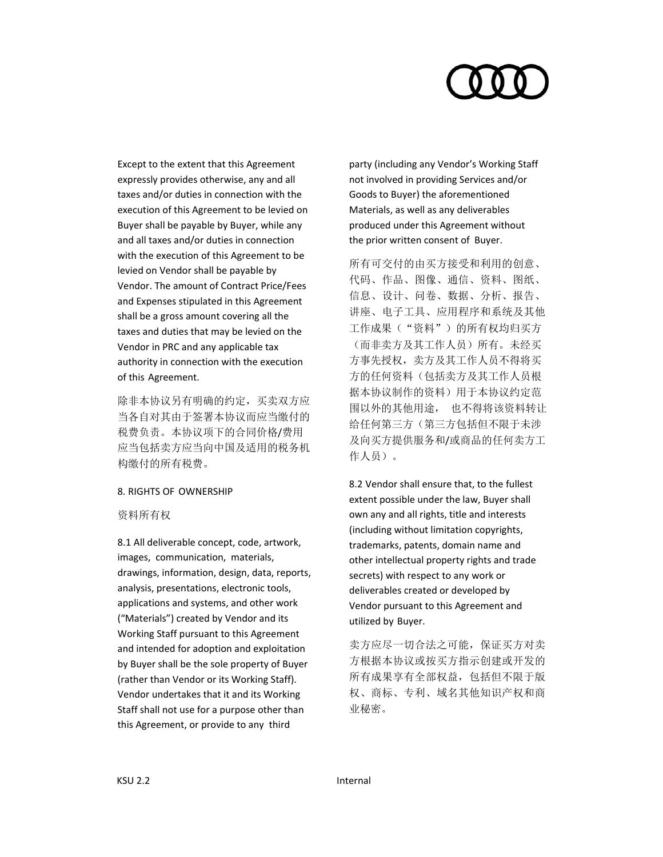

Except to the extent that this Agreement expressly provides otherwise, any and all taxes and/or duties in connection with the execution of this Agreement to be levied on Buyer shall be payable by Buyer, while any and all taxes and/or duties in connection with the execution of this Agreement to be levied on Vendor shall be payable by Vendor. The amount of Contract Price/Fees and Expenses stipulated in this Agreement shall be a gross amount covering all the taxes and duties that may be levied on the Vendor in PRC and any applicable tax authority in connection with the execution of this Agreement.

除非本协议另有明确的约定,买卖双方应 当各自对其由于签署本协议而应当缴付的 税费负责。本协议项下的合同价格/费用 应当包括卖方应当向中国及适用的税务机 构缴付的所有税费。

### 8. RIGHTS OF OWNERSHIP

资料所有权

8.1 All deliverable concept, code, artwork, images, communication, materials, drawings, information, design, data, reports, analysis, presentations, electronic tools, applications and systems, and other work ("Materials") created by Vendor and its Working Staff pursuant to this Agreement and intended for adoption and exploitation by Buyer shall be the sole property of Buyer (rather than Vendor or its Working Staff). Vendor undertakes that it and its Working Staff shall not use for a purpose other than this Agreement, or provide to any third

party (including any Vendor's Working Staff not involved in providing Services and/or Goods to Buyer) the aforementioned Materials, as well as any deliverables produced under this Agreement without the prior written consent of Buyer.

所有可交付的由买方接受和利用的创意、 代码、作品、图像、通信、资料、图纸、 信息、设计、问卷、数据、分析、报告、 讲座、电子工具、应用程序和系统及其他 工作成果("资料")的所有权均归买方 (而非卖方及其工作人员)所有。未经买 方事先授权,卖方及其工作人员不得将买 方的任何资料(包括卖方及其工作人员根 据本协议制作的资料)用于本协议约定范 围以外的其他用途, 也不得将该资料转让 给任何第三方(第三方包括但不限于未涉 及向买方提供服务和/或商品的任何卖方工 作人员)。

8.2 Vendor shall ensure that, to the fullest extent possible under the law, Buyer shall own any and all rights, title and interests (including without limitation copyrights, trademarks, patents, domain name and other intellectual property rights and trade secrets) with respect to any work or deliverables created or developed by Vendor pursuant to this Agreement and utilized by Buyer.

卖方应尽一切合法之可能,保证买方对卖 方根据本协议或按买方指示创建或开发的 所有成果享有全部权益,包括但不限于版 权、商标、专利、域名其他知识产权和商 业秘密。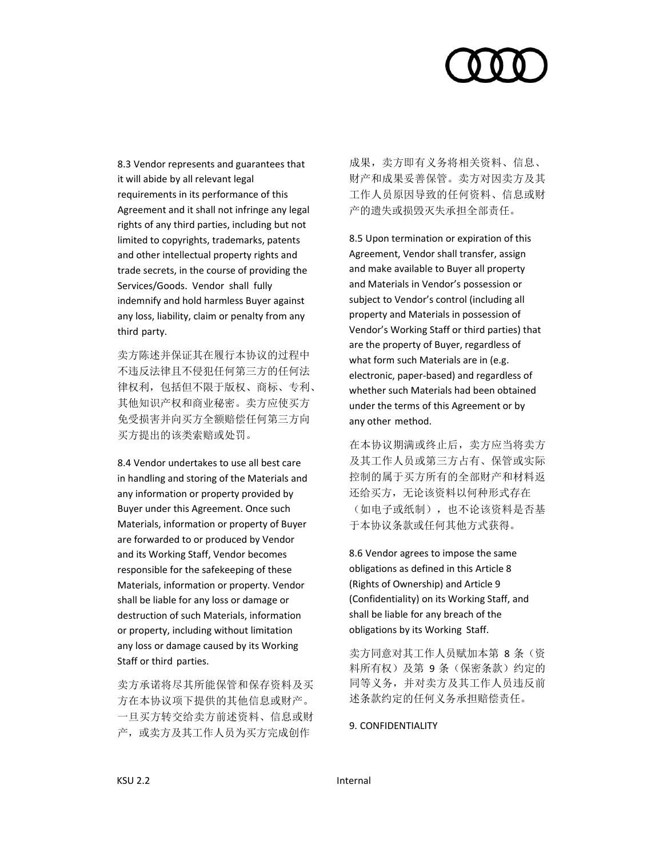8.3 Vendor represents and guarantees that it will abide by all relevant legal requirements in its performance of this Agreement and it shall not infringe any legal rights of any third parties, including but not limited to copyrights, trademarks, patents and other intellectual property rights and trade secrets, in the course of providing the Services/Goods. Vendor shall fully indemnify and hold harmless Buyer against any loss, liability, claim or penalty from any third party.

卖方陈述并保证其在履行本协议的过程中 不违反法律且不侵犯任何第三方的任何法 律权利,包括但不限于版权、商标、专利、 其他知识产权和商业秘密。卖方应使买方 免受损害并向买方全额赔偿任何第三方向 买方提出的该类索赔或处罚。

8.4 Vendor undertakes to use all best care in handling and storing of the Materials and any information or property provided by Buyer under this Agreement. Once such Materials, information or property of Buyer are forwarded to or produced by Vendor and its Working Staff, Vendor becomes responsible for the safekeeping of these Materials, information or property. Vendor shall be liable for any loss or damage or destruction of such Materials, information or property, including without limitation any loss or damage caused by its Working Staff or third parties.

卖方承诺将尽其所能保管和保存资料及买 方在本协议项下提供的其他信息或财产。 一旦买方转交给卖方前述资料、信息或财 产,或卖方及其工作人员为买方完成创作

成果,卖方即有义务将相关资料、信息、 财产和成果妥善保管。卖方对因卖方及其 工作人员原因导致的任何资料、信息或财 产的遗失或损毁灭失承担全部责任。

8.5 Upon termination or expiration of this Agreement, Vendor shall transfer, assign and make available to Buyer all property and Materials in Vendor's possession or subject to Vendor's control (including all property and Materials in possession of Vendor's Working Staff or third parties) that are the property of Buyer, regardless of what form such Materials are in (e.g. electronic, paper‐based) and regardless of whether such Materials had been obtained under the terms of this Agreement or by any other method.

在本协议期满或终止后,卖方应当将卖方 及其工作人员或第三方占有、保管或实际 控制的属于买方所有的全部财产和材料返 还给买方,无论该资料以何种形式存在 (如电子或纸制),也不论该资料是否基 于本协议条款或任何其他方式获得。

8.6 Vendor agrees to impose the same obligations as defined in this Article 8 (Rights of Ownership) and Article 9 (Confidentiality) on its Working Staff, and shall be liable for any breach of the obligations by its Working Staff.

卖方同意对其工作人员赋加本第 8 条(资 料所有权)及第9条(保密条款)约定的 同等义务,并对卖方及其工作人员违反前 述条款约定的任何义务承担赔偿责任。

9. CONFIDENTIALITY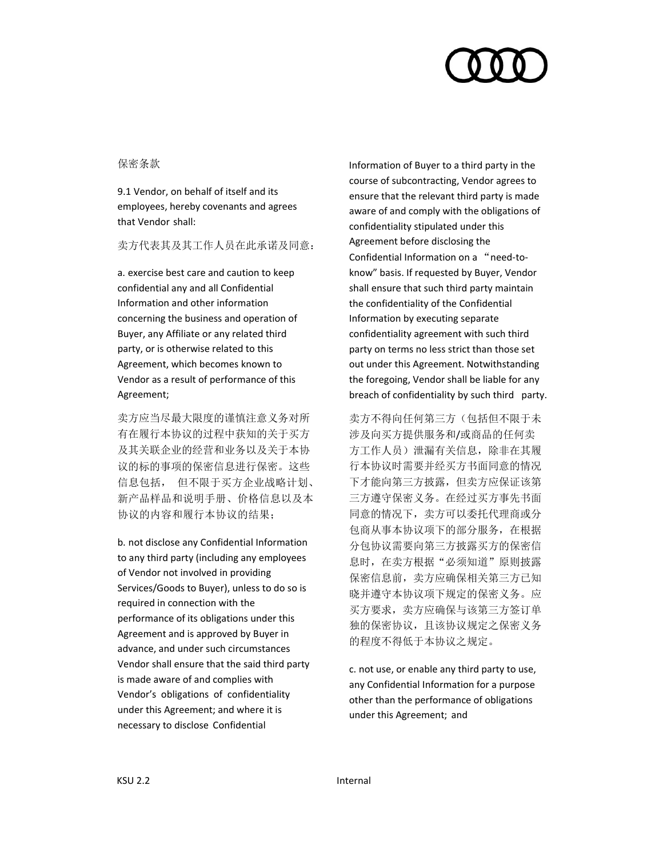

# 保密条款

9.1 Vendor, on behalf of itself and its employees, hereby covenants and agrees that Vendor shall:

卖方代表其及其工作人员在此承诺及同意:

a. exercise best care and caution to keep confidential any and all Confidential Information and other information concerning the business and operation of Buyer, any Affiliate or any related third party, or is otherwise related to this Agreement, which becomes known to Vendor as a result of performance of this Agreement;

卖方应当尽最大限度的谨慎注意义务对所 有在履行本协议的过程中获知的关于买方 及其关联企业的经营和业务以及关于本协 议的标的事项的保密信息进行保密。这些 信息包括, 但不限于买方企业战略计划、 新产品样品和说明手册、价格信息以及本 协议的内容和履行本协议的结果;

b. not disclose any Confidential Information to any third party (including any employees of Vendor not involved in providing Services/Goods to Buyer), unless to do so is required in connection with the performance of its obligations under this Agreement and is approved by Buyer in advance, and under such circumstances Vendor shall ensure that the said third party is made aware of and complies with Vendor's obligations of confidentiality under this Agreement; and where it is necessary to disclose Confidential

Information of Buyer to a third party in the course of subcontracting, Vendor agrees to ensure that the relevant third party is made aware of and comply with the obligations of confidentiality stipulated under this Agreement before disclosing the Confidential Information on a "need‐to‐ know" basis. If requested by Buyer, Vendor shall ensure that such third party maintain the confidentiality of the Confidential Information by executing separate confidentiality agreement with such third party on terms no less strict than those set out under this Agreement. Notwithstanding the foregoing, Vendor shall be liable for any breach of confidentiality by such third party.

卖方不得向任何第三方(包括但不限于未 涉及向买方提供服务和/或商品的任何卖 方工作人员)泄漏有关信息,除非在其履 行本协议时需要并经买方书面同意的情况 下才能向第三方披露,但卖方应保证该第 三方遵守保密义务。在经过买方事先书面 同意的情况下,卖方可以委托代理商或分 包商从事本协议项下的部分服务,在根据 分包协议需要向第三方披露买方的保密信 息时, 在卖方根据"必须知道"原则披露 保密信息前,卖方应确保相关第三方已知 晓并遵守本协议项下规定的保密义务。应 买方要求,卖方应确保与该第三方签订单 独的保密协议,且该协议规定之保密义务 的程度不得低于本协议之规定。

c. not use, or enable any third party to use, any Confidential Information for a purpose other than the performance of obligations under this Agreement; and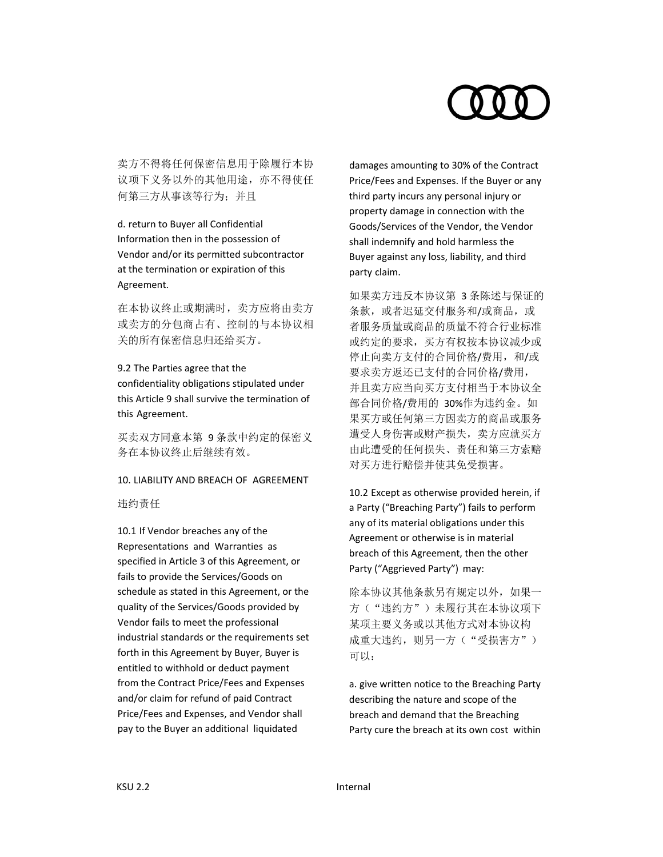卖方不得将任何保密信息用于除履行本协 议项下义务以外的其他用途,亦不得使任 何第三方从事该等行为;并且

d. return to Buyer all Confidential Information then in the possession of Vendor and/or its permitted subcontractor at the termination or expiration of this Agreement.

在本协议终止或期满时,卖方应将由卖方 或卖方的分包商占有、控制的与本协议相 关的所有保密信息归还给买方。

### 9.2 The Parties agree that the

confidentiality obligations stipulated under this Article 9 shall survive the termination of this Agreement.

买卖双方同意本第 9 条款中约定的保密义 务在本协议终止后继续有效。

### 10. LIABILITY AND BREACH OF AGREEMENT

违约责任

10.1 If Vendor breaches any of the Representations and Warranties as specified in Article 3 of this Agreement, or fails to provide the Services/Goods on schedule as stated in this Agreement, or the quality of the Services/Goods provided by Vendor fails to meet the professional industrial standards or the requirements set forth in this Agreement by Buyer, Buyer is entitled to withhold or deduct payment from the Contract Price/Fees and Expenses and/or claim for refund of paid Contract Price/Fees and Expenses, and Vendor shall pay to the Buyer an additional liquidated

damages amounting to 30% of the Contract Price/Fees and Expenses. If the Buyer or any third party incurs any personal injury or property damage in connection with the Goods/Services of the Vendor, the Vendor shall indemnify and hold harmless the Buyer against any loss, liability, and third party claim.

如果卖方违反本协议第 3 条陈述与保证的 条款, 或者迟延交付服务和/或商品, 或 者服务质量或商品的质量不符合行业标准 或约定的要求,买方有权按本协议减少或 停止向卖方支付的合同价格/费用, 和/或 要求卖方返还已支付的合同价格/费用, 并且卖方应当向买方支付相当于本协议全 部合同价格/费用的 30%作为违约金。如 果买方或任何第三方因卖方的商品或服务 遭受人身伤害或财产损失,卖方应就买方 由此遭受的任何损失、责任和第三方索赔 对买方进行赔偿并使其免受损害。

10.2 Except as otherwise provided herein, if a Party ("Breaching Party") fails to perform any of its material obligations under this Agreement or otherwise is in material breach of this Agreement, then the other Party ("Aggrieved Party") may:

除本协议其他条款另有规定以外, 如果一 方("违约方")未履行其在本协议项下 某项主要义务或以其他方式对本协议构 成重大违约, 则另一方("受损害方") 可以:

a. give written notice to the Breaching Party describing the nature and scope of the breach and demand that the Breaching Party cure the breach at its own cost within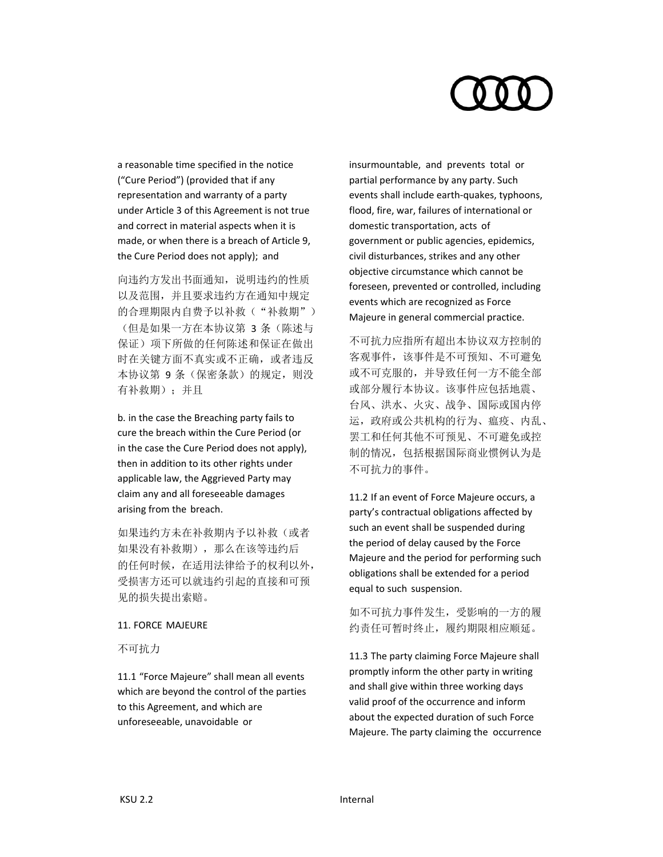a reasonable time specified in the notice ("Cure Period") (provided that if any representation and warranty of a party under Article 3 of this Agreement is not true and correct in material aspects when it is made, or when there is a breach of Article 9, the Cure Period does not apply); and

向违约方发出书面通知,说明违约的性质 以及范围,并且要求违约方在通知中规定 的合理期限内自费予以补救("补救期") (但是如果一方在本协议第 3 条(陈述与 保证)项下所做的任何陈述和保证在做出 时在关键方面不真实或不正确,或者违反 本协议第 9 条(保密条款)的规定, 则没 有补救期);并且

b. in the case the Breaching party fails to cure the breach within the Cure Period (or in the case the Cure Period does not apply), then in addition to its other rights under applicable law, the Aggrieved Party may claim any and all foreseeable damages arising from the breach.

如果违约方未在补救期内予以补救(或者 如果没有补救期),那么在该等违约后 的任何时候,在适用法律给予的权利以外, 受损害方还可以就违约引起的直接和可预 见的损失提出索赔。

### 11. FORCE MAJEURE

不可抗力

11.1 "Force Majeure" shall mean all events which are beyond the control of the parties to this Agreement, and which are unforeseeable, unavoidable or

insurmountable, and prevents total or partial performance by any party. Such events shall include earth‐quakes, typhoons, flood, fire, war, failures of international or domestic transportation, acts of government or public agencies, epidemics, civil disturbances, strikes and any other objective circumstance which cannot be foreseen, prevented or controlled, including events which are recognized as Force Majeure in general commercial practice.

不可抗力应指所有超出本协议双方控制的 客观事件,该事件是不可预知、不可避免 或不可克服的,并导致任何一方不能全部 或部分履行本协议。该事件应包括地震、 台风、洪水、火灾、战争、国际或国内停 运,政府或公共机构的行为、瘟疫、内乱、 罢工和任何其他不可预见、不可避免或控 制的情况,包括根据国际商业惯例认为是 不可抗力的事件。

11.2 If an event of Force Majeure occurs, a party's contractual obligations affected by such an event shall be suspended during the period of delay caused by the Force Majeure and the period for performing such obligations shall be extended for a period equal to such suspension.

如不可抗力事件发生,受影响的一方的履 约责任可暂时终止,履约期限相应顺延。

11.3 The party claiming Force Majeure shall promptly inform the other party in writing and shall give within three working days valid proof of the occurrence and inform about the expected duration of such Force Majeure. The party claiming the occurrence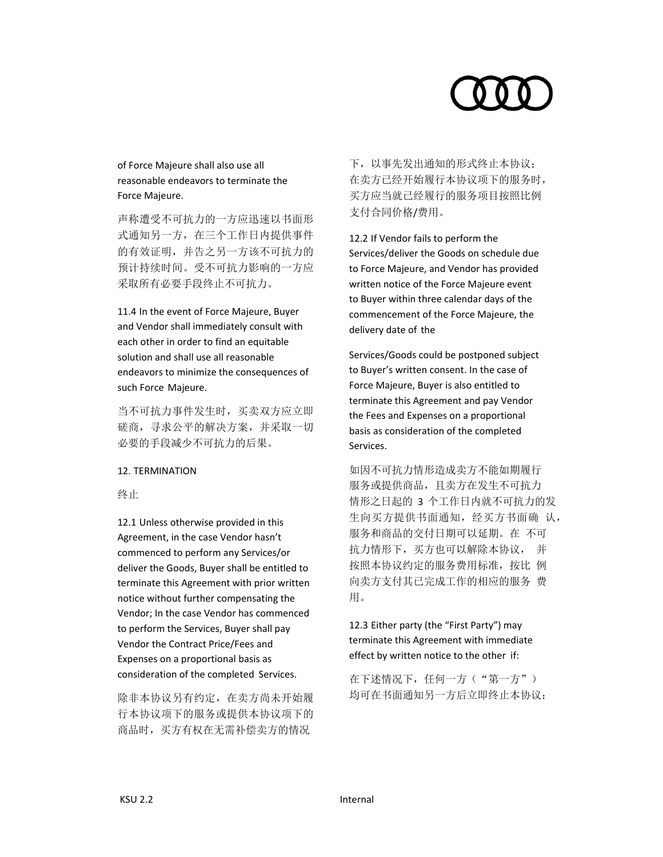# of Force Majeure shall also use all reasonable endeavors to terminate the Force Majeure.

声称遭受不可抗力的一方应迅速以书面形 式通知另一方,在三个工作日内提供事件 的有效证明,并告之另一方该不可抗力的 预计持续时间。受不可抗力影响的一方应 采取所有必要手段终止不可抗力。

11.4 In the event of Force Majeure, Buyer and Vendor shall immediately consult with each other in order to find an equitable solution and shall use all reasonable endeavors to minimize the consequences of such Force Majeure.

当不可抗力事件发生时,买卖双方应立即 磋商,寻求公平的解决方案,并采取一切 必要的手段减少不可抗力的后果。

# 12. TERMINATION

终止

12.1 Unless otherwise provided in this Agreement, in the case Vendor hasn't commenced to perform any Services/or deliver the Goods, Buyer shall be entitled to terminate this Agreement with prior written notice without further compensating the Vendor; In the case Vendor has commenced to perform the Services, Buyer shall pay Vendor the Contract Price/Fees and Expenses on a proportional basis as consideration of the completed Services.

除非本协议另有约定,在卖方尚未开始履 行本协议项下的服务或提供本协议项下的 商品时,买方有权在无需补偿卖方的情况

下,以事先发出通知的形式终止本协议; 在卖方已经开始履行本协议项下的服务时, 买方应当就已经履行的服务项目按照比例 支付合同价格/费用。

12.2 If Vendor fails to perform the Services/deliver the Goods on schedule due to Force Majeure, and Vendor has provided written notice of the Force Majeure event to Buyer within three calendar days of the commencement of the Force Majeure, the delivery date of the

Services/Goods could be postponed subject to Buyer's written consent. In the case of Force Majeure, Buyer is also entitled to terminate this Agreement and pay Vendor the Fees and Expenses on a proportional basis as consideration of the completed Services.

如因不可抗力情形造成卖方不能如期履行 服务或提供商品,且卖方在发生不可抗力 情形之日起的 3 个工作日内就不可抗力的发 生向买方提供书面通知,经买方书面确 认, 服务和商品的交付日期可以延期。在 不可 抗力情形下,买方也可以解除本协议, 并 按照本协议约定的服务费用标准,按比 例 向卖方支付其已完成工作的相应的服务 费 用。

12.3 Either party (the "First Party") may terminate this Agreement with immediate effect by written notice to the other if:

在下述情况下,任何一方("第一方") 均可在书面通知另一方后立即终止本协议: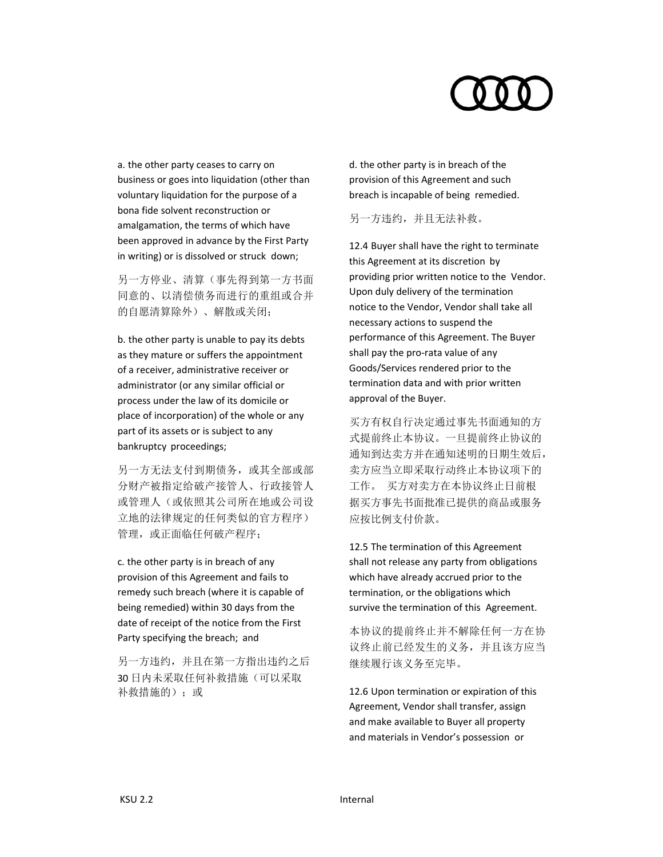a. the other party ceases to carry on business or goes into liquidation (other than voluntary liquidation for the purpose of a bona fide solvent reconstruction or amalgamation, the terms of which have been approved in advance by the First Party in writing) or is dissolved or struck down;

另一方停业、清算(事先得到第一方书面 同意的、以清偿债务而进行的重组或合并 的自愿清算除外)、解散或关闭;

b. the other party is unable to pay its debts as they mature or suffers the appointment of a receiver, administrative receiver or administrator (or any similar official or process under the law of its domicile or place of incorporation) of the whole or any part of its assets or is subject to any bankruptcy proceedings;

另一方无法支付到期债务,或其全部或部 分财产被指定给破产接管人、行政接管人 或管理人(或依照其公司所在地或公司设 立地的法律规定的任何类似的官方程序) 管理,或正面临任何破产程序;

c. the other party is in breach of any provision of this Agreement and fails to remedy such breach (where it is capable of being remedied) within 30 days from the date of receipt of the notice from the First Party specifying the breach; and

另一方违约,并且在第一方指出违约之后 30 日内未采取任何补救措施(可以采取 补救措施的);或

d. the other party is in breach of the provision of this Agreement and such breach is incapable of being remedied.

另一方违约,并且无法补救。

12.4 Buyer shall have the right to terminate this Agreement at its discretion by providing prior written notice to the Vendor. Upon duly delivery of the termination notice to the Vendor, Vendor shall take all necessary actions to suspend the performance of this Agreement. The Buyer shall pay the pro‐rata value of any Goods/Services rendered prior to the termination data and with prior written approval of the Buyer.

买方有权自行决定通过事先书面通知的方 式提前终止本协议。一旦提前终止协议的 通知到达卖方并在通知述明的日期生效后, 卖方应当立即采取行动终止本协议项下的 工作。 买方对卖方在本协议终止日前根 据买方事先书面批准已提供的商品或服务 应按比例支付价款。

12.5 The termination of this Agreement shall not release any party from obligations which have already accrued prior to the termination, or the obligations which survive the termination of this Agreement.

本协议的提前终止并不解除任何一方在协 议终止前已经发生的义务,并且该方应当 继续履行该义务至完毕。

12.6 Upon termination or expiration of this Agreement, Vendor shall transfer, assign and make available to Buyer all property and materials in Vendor's possession or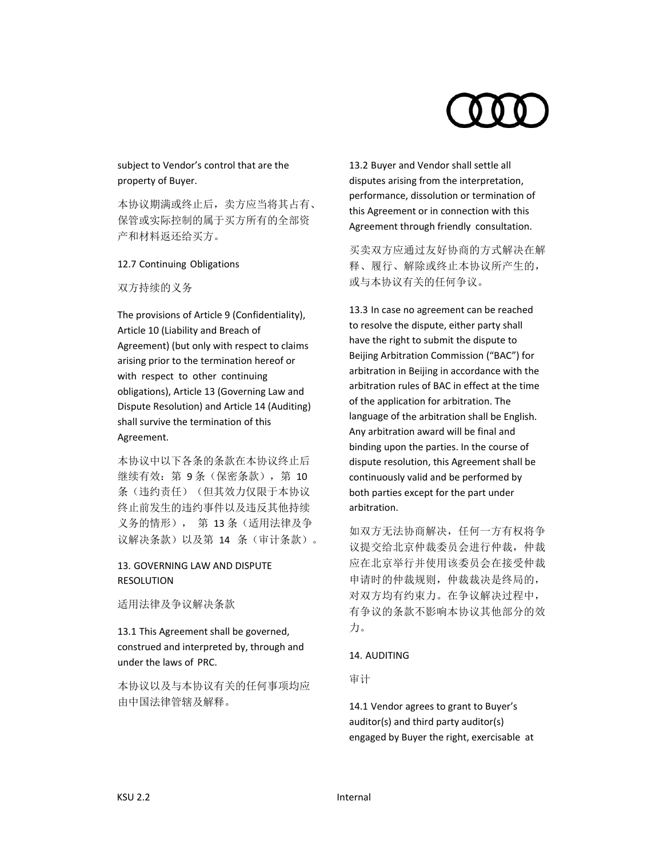# subject to Vendor's control that are the property of Buyer.

本协议期满或终止后,卖方应当将其占有、 保管或实际控制的属于买方所有的全部资 产和材料返还给买方。

# 12.7 Continuing Obligations

# 双方持续的义务

The provisions of Article 9 (Confidentiality), Article 10 (Liability and Breach of Agreement) (but only with respect to claims arising prior to the termination hereof or with respect to other continuing obligations), Article 13 (Governing Law and Dispute Resolution) and Article 14 (Auditing) shall survive the termination of this Agreement.

本协议中以下各条的条款在本协议终止后 继续有效: 第 9条(保密条款), 第 10 条(违约责任)(但其效力仅限于本协议 终止前发生的违约事件以及违反其他持续 义务的情形), 第 13 条(适用法律及争 议解决条款)以及第 14 条(审计条款)。

# 13. GOVERNING LAW AND DISPUTE RESOLUTION

适用法律及争议解决条款

13.1 This Agreement shall be governed, construed and interpreted by, through and under the laws of PRC.

本协议以及与本协议有关的任何事项均应 由中国法律管辖及解释。

13.2 Buyer and Vendor shall settle all disputes arising from the interpretation, performance, dissolution or termination of this Agreement or in connection with this Agreement through friendly consultation.

买卖双方应通过友好协商的方式解决在解 释、履行、解除或终止本协议所产生的, 或与本协议有关的任何争议。

13.3 In case no agreement can be reached to resolve the dispute, either party shall have the right to submit the dispute to Beijing Arbitration Commission ("BAC") for arbitration in Beijing in accordance with the arbitration rules of BAC in effect at the time of the application for arbitration. The language of the arbitration shall be English. Any arbitration award will be final and binding upon the parties. In the course of dispute resolution, this Agreement shall be continuously valid and be performed by both parties except for the part under arbitration.

如双方无法协商解决,任何一方有权将争 议提交给北京仲裁委员会进行仲裁,仲裁 应在北京举行并使用该委员会在接受仲裁 申请时的仲裁规则,仲裁裁决是终局的, 对双方均有约束力。在争议解决过程中, 有争议的条款不影响本协议其他部分的效 力。

# 14. AUDITING

审计

14.1 Vendor agrees to grant to Buyer's auditor(s) and third party auditor(s) engaged by Buyer the right, exercisable at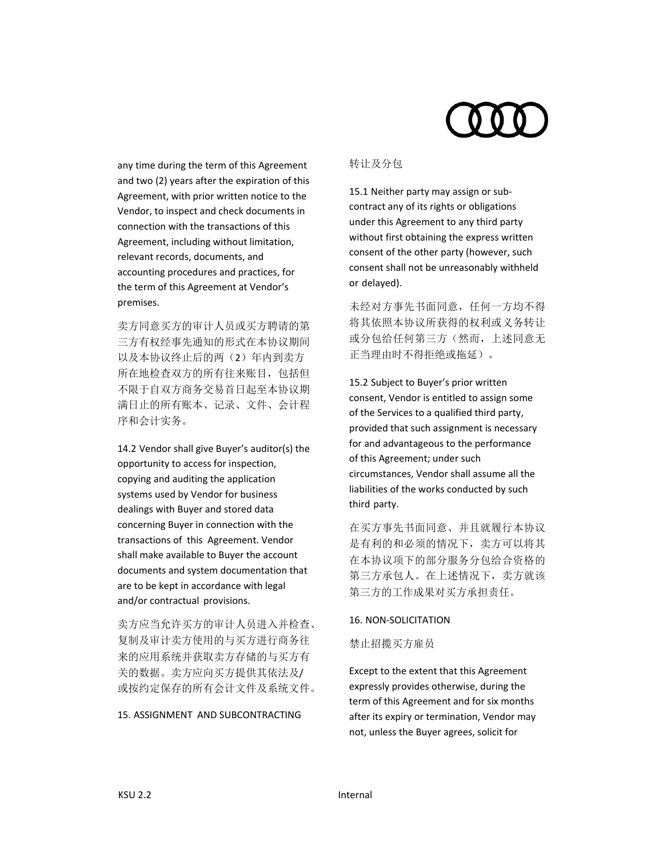any time during the term of this Agreement and two (2) years after the expiration of this Agreement, with prior written notice to the Vendor, to inspect and check documents in connection with the transactions of this Agreement, including without limitation, relevant records, documents, and accounting procedures and practices, for the term of this Agreement at Vendor's premises.

卖方同意买方的审计人员或买方聘请的第 三方有权经事先通知的形式在本协议期间 以及本协议终止后的两(2)年内到卖方 所在地检查双方的所有往来账目,包括但 不限于自双方商务交易首日起至本协议期 满日止的所有账本、记录、文件、会计程 序和会计实务。

14.2 Vendor shall give Buyer's auditor(s) the opportunity to access for inspection, copying and auditing the application systems used by Vendor for business dealings with Buyer and stored data concerning Buyer in connection with the transactions of this Agreement. Vendor shall make available to Buyer the account documents and system documentation that are to be kept in accordance with legal and/or contractual provisions.

卖方应当允许买方的审计人员进入并检查、 复制及审计卖方使用的与买方进行商务往 来的应用系统并获取卖方存储的与买方有 关的数据。卖方应向买方提供其依法及/ 或按约定保存的所有会计文件及系统文件。

# 15. ASSIGNMENT AND SUBCONTRACTING

### 转让及分包

15.1 Neither party may assign or sub‐ contract any of its rights or obligations under this Agreement to any third party without first obtaining the express written consent of the other party (however, such consent shall not be unreasonably withheld or delayed).

未经对方事先书面同意,任何一方均不得 将其依照本协议所获得的权利或义务转让 或分包给任何第三方(然而,上述同意无 正当理由时不得拒绝或拖延)。

15.2 Subject to Buyer's prior written consent, Vendor is entitled to assign some of the Services to a qualified third party, provided that such assignment is necessary for and advantageous to the performance of this Agreement; under such circumstances, Vendor shall assume all the liabilities of the works conducted by such third party.

在买方事先书面同意、并且就履行本协议 是有利的和必须的情况下,卖方可以将其 在本协议项下的部分服务分包给合资格的 第三方承包人。在上述情况下,卖方就该 第三方的工作成果对买方承担责任。

### 16. NON‐SOLICITATION

禁止招揽买方雇员

Except to the extent that this Agreement expressly provides otherwise, during the term of this Agreement and for six months after its expiry or termination, Vendor may not, unless the Buyer agrees, solicit for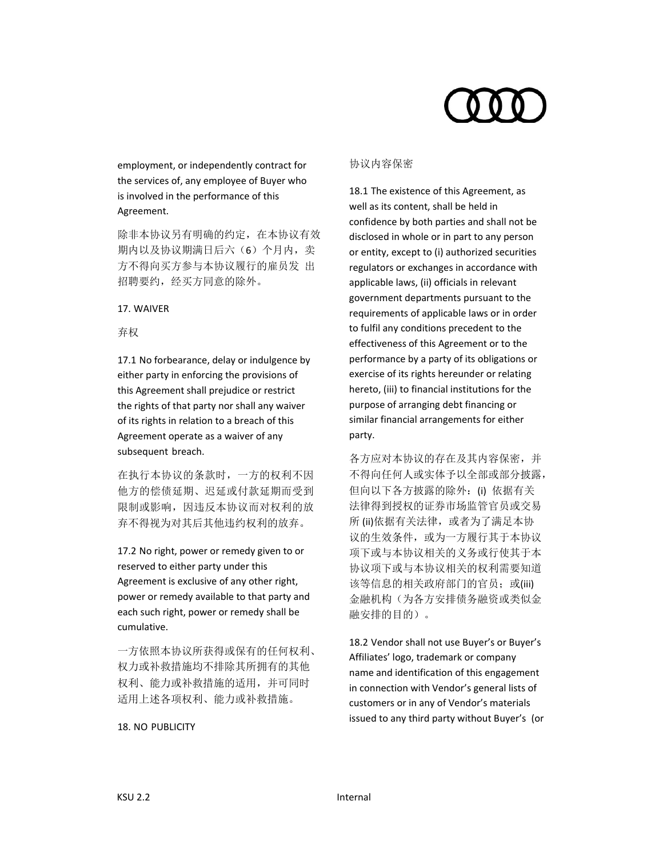

employment, or independently contract for the services of, any employee of Buyer who is involved in the performance of this Agreement.

除非本协议另有明确的约定,在本协议有效 期内以及协议期满日后六(6)个月内,卖 方不得向买方参与本协议履行的雇员发 出 招聘要约,经买方同意的除外。

### 17. WAIVER

# 弃权

17.1 No forbearance, delay or indulgence by either party in enforcing the provisions of this Agreement shall prejudice or restrict the rights of that party nor shall any waiver of its rights in relation to a breach of this Agreement operate as a waiver of any subsequent breach.

在执行本协议的条款时,一方的权利不因 他方的偿债延期、迟延或付款延期而受到 限制或影响,因违反本协议而对权利的放 弃不得视为对其后其他违约权利的放弃。

17.2 No right, power or remedy given to or reserved to either party under this Agreement is exclusive of any other right, power or remedy available to that party and each such right, power or remedy shall be cumulative.

一方依照本协议所获得或保有的任何权利、 权力或补救措施均不排除其所拥有的其他 权利、能力或补救措施的适用,并可同时 适用上述各项权利、能力或补救措施。

### 18. NO PUBLICITY

# 协议内容保密

18.1 The existence of this Agreement, as well as its content, shall be held in confidence by both parties and shall not be disclosed in whole or in part to any person or entity, except to (i) authorized securities regulators or exchanges in accordance with applicable laws, (ii) officials in relevant government departments pursuant to the requirements of applicable laws or in order to fulfil any conditions precedent to the effectiveness of this Agreement or to the performance by a party of its obligations or exercise of its rights hereunder or relating hereto, (iii) to financial institutions for the purpose of arranging debt financing or similar financial arrangements for either party.

各方应对本协议的存在及其内容保密,并 不得向任何人或实体予以全部或部分披露, 但向以下各方披露的除外: (i) 依据有关 法律得到授权的证券市场监管官员或交易 所 (ii)依据有关法律, 或者为了满足本协 议的生效条件, 或为一方履行其于本协议 项下或与本协议相关的义务或行使其于本 协议项下或与本协议相关的权利需要知道 该等信息的相关政府部门的官员; 或(iii) 金融机构(为各方安排债务融资或类似金 融安排的目的)。

18.2 Vendor shall not use Buyer's or Buyer's Affiliates' logo, trademark or company name and identification of this engagement in connection with Vendor's general lists of customers or in any of Vendor's materials issued to any third party without Buyer's (or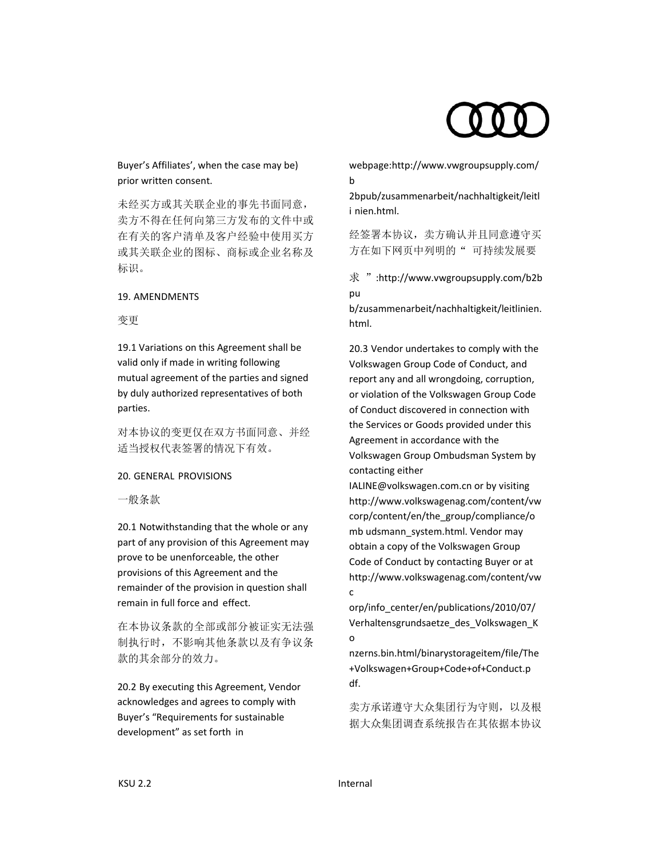Buyer's Affiliates', when the case may be) prior written consent.

未经买方或其关联企业的事先书面同意, 卖方不得在任何向第三方发布的文件中或 在有关的客户清单及客户经验中使用买方 或其关联企业的图标、商标或企业名称及 标识。

### 19. AMENDMENTS

### 变更

19.1 Variations on this Agreement shall be valid only if made in writing following mutual agreement of the parties and signed by duly authorized representatives of both parties.

对本协议的变更仅在双方书面同意、并经 适当授权代表签署的情况下有效。

# 20. GENERAL PROVISIONS

一般条款

20.1 Notwithstanding that the whole or any part of any provision of this Agreement may prove to be unenforceable, the other provisions of this Agreement and the remainder of the provision in question shall remain in full force and effect.

在本协议条款的全部或部分被证实无法强 制执行时,不影响其他条款以及有争议条 款的其余部分的效力。

20.2 By executing this Agreement, Vendor acknowledges and agrees to comply with Buyer's "Requirements for sustainable development" as set forth in

webpage:http://www.vwgroupsupply.com/ b

2bpub/zusammenarbeit/nachhaltigkeit/leitl i nien.html.

经签署本协议,卖方确认并且同意遵守买 方在如下网页中列明的"可持续发展要

求 ":http://www.vwgroupsupply.com/b2b pu

b/zusammenarbeit/nachhaltigkeit/leitlinien. html.

20.3 Vendor undertakes to comply with the Volkswagen Group Code of Conduct, and report any and all wrongdoing, corruption, or violation of the Volkswagen Group Code of Conduct discovered in connection with the Services or Goods provided under this Agreement in accordance with the Volkswagen Group Ombudsman System by contacting either

IALINE@volkswagen.com.cn or by visiting http://www.volkswagenag.com/content/vw corp/content/en/the\_group/compliance/o mb udsmann\_system.html. Vendor may obtain a copy of the Volkswagen Group Code of Conduct by contacting Buyer or at http://www.volkswagenag.com/content/vw c

orp/info\_center/en/publications/2010/07/ Verhaltensgrundsaetze\_des\_Volkswagen\_K o

nzerns.bin.html/binarystorageitem/file/The +Volkswagen+Group+Code+of+Conduct.p df.

卖方承诺遵守大众集团行为守则,以及根 据大众集团调查系统报告在其依据本协议